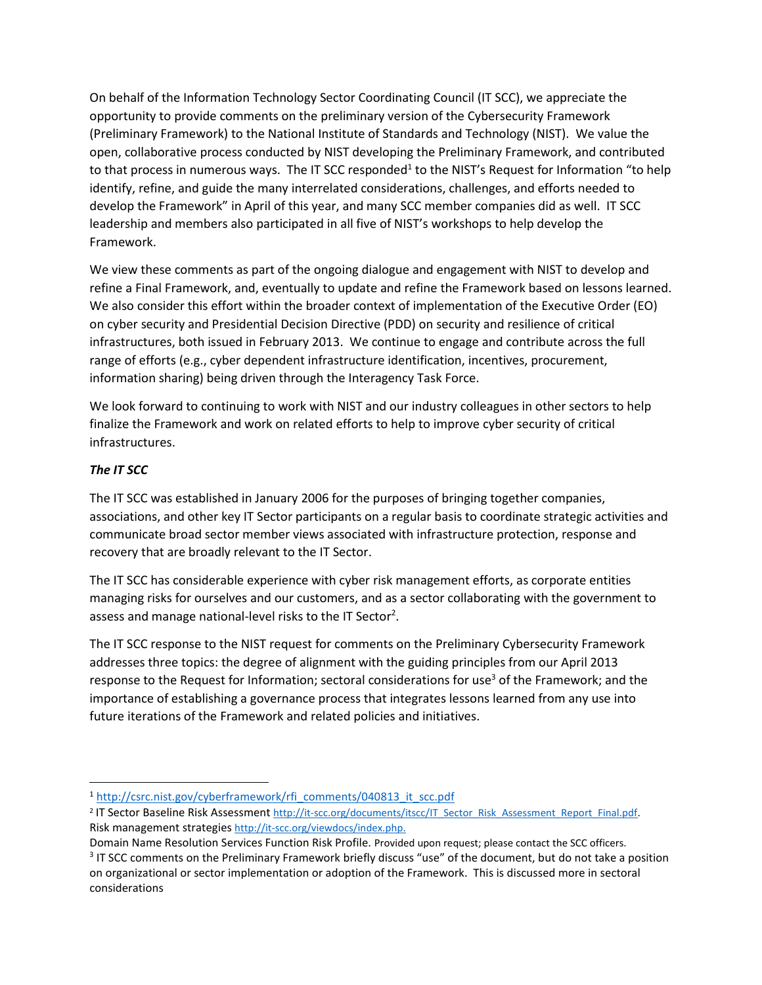On behalf of the Information Technology Sector Coordinating Council (IT SCC), we appreciate the opportunity to provide comments on the preliminary version of the Cybersecurity Framework (Preliminary Framework) to the National Institute of Standards and Technology (NIST). We value the open, collaborative process conducted by NIST developing the Preliminary Framework, and contributed to that process in numerous ways. The IT SCC responded<sup>1</sup> to the NIST's Request for Information "to help identify, refine, and guide the many interrelated considerations, challenges, and efforts needed to develop the Framework" in April of this year, and many SCC member companies did as well. IT SCC leadership and members also participated in all five of NIST's workshops to help develop the Framework.

We view these comments as part of the ongoing dialogue and engagement with NIST to develop and refine a Final Framework, and, eventually to update and refine the Framework based on lessons learned. We also consider this effort within the broader context of implementation of the Executive Order (EO) on cyber security and Presidential Decision Directive (PDD) on security and resilience of critical infrastructures, both issued in February 2013. We continue to engage and contribute across the full range of efforts (e.g., cyber dependent infrastructure identification, incentives, procurement, information sharing) being driven through the Interagency Task Force.

We look forward to continuing to work with NIST and our industry colleagues in other sectors to help finalize the Framework and work on related efforts to help to improve cyber security of critical infrastructures.

## *The IT SCC*

 $\overline{\phantom{a}}$ 

The IT SCC was established in January 2006 for the purposes of bringing together companies, associations, and other key IT Sector participants on a regular basis to coordinate strategic activities and communicate broad sector member views associated with infrastructure protection, response and recovery that are broadly relevant to the IT Sector.

The IT SCC has considerable experience with cyber risk management efforts, as corporate entities managing risks for ourselves and our customers, and as a sector collaborating with the government to assess and manage national-level risks to the IT Sector<sup>2</sup>.

The IT SCC response to the NIST request for comments on the Preliminary Cybersecurity Framework addresses three topics: the degree of alignment with the guiding principles from our April 2013 response to the Request for Information; sectoral considerations for use<sup>3</sup> of the Framework; and the importance of establishing a governance process that integrates lessons learned from any use into future iterations of the Framework and related policies and initiatives.

<sup>1</sup> [http://csrc.nist.gov/cyberframework/rfi\\_comments/040813\\_it\\_scc.pdf](http://csrc.nist.gov/cyberframework/rfi_comments/040813_it_scc.pdf)

<sup>&</sup>lt;sup>2</sup> IT Sector Baseline Risk Assessment http://it-scc.org/documents/itscc/IT\_Sector\_Risk\_Assessment\_Report\_Final.pdf Risk management strategies [http://it-scc.org/viewdocs/index.php.](http://it-scc.org/viewdocs/index.php)

Domain Name Resolution Services Function Risk Profile. Provided upon request; please contact the SCC officers. <sup>3</sup> IT SCC comments on the Preliminary Framework briefly discuss "use" of the document, but do not take a position on organizational or sector implementation or adoption of the Framework. This is discussed more in sectoral considerations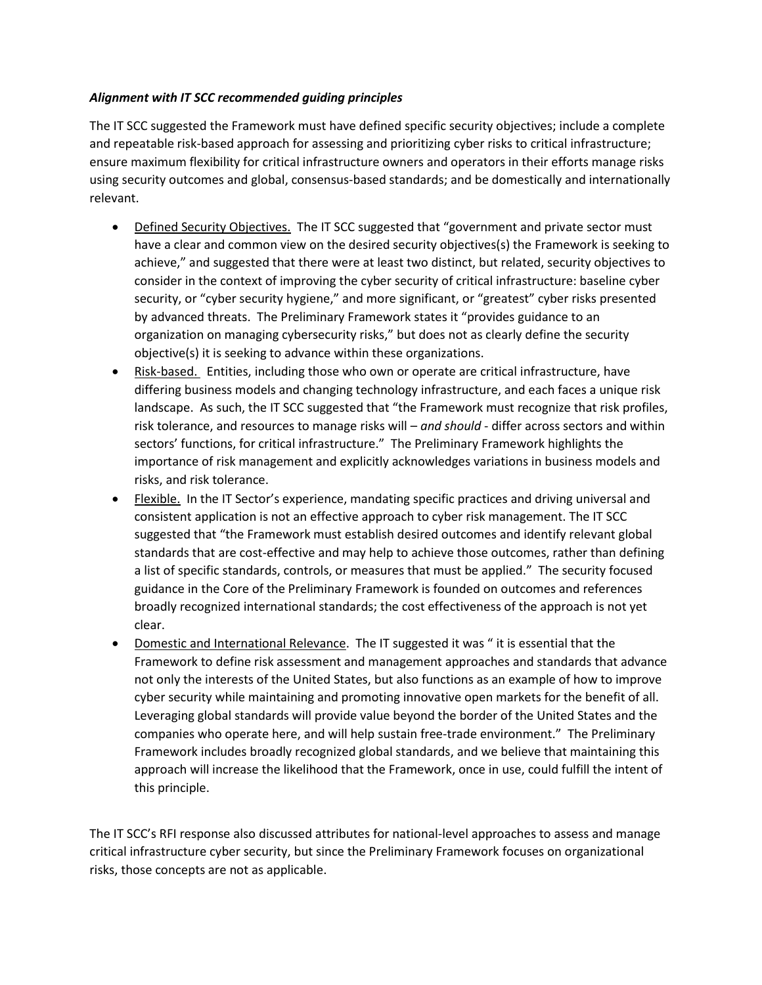## *Alignment with IT SCC recommended guiding principles*

The IT SCC suggested the Framework must have defined specific security objectives; include a complete and repeatable risk-based approach for assessing and prioritizing cyber risks to critical infrastructure; ensure maximum flexibility for critical infrastructure owners and operators in their efforts manage risks using security outcomes and global, consensus-based standards; and be domestically and internationally relevant.

- Defined Security Objectives. The IT SCC suggested that "government and private sector must have a clear and common view on the desired security objectives(s) the Framework is seeking to achieve," and suggested that there were at least two distinct, but related, security objectives to consider in the context of improving the cyber security of critical infrastructure: baseline cyber security, or "cyber security hygiene," and more significant, or "greatest" cyber risks presented by advanced threats. The Preliminary Framework states it "provides guidance to an organization on managing cybersecurity risks," but does not as clearly define the security objective(s) it is seeking to advance within these organizations.
- Risk-based. Entities, including those who own or operate are critical infrastructure, have differing business models and changing technology infrastructure, and each faces a unique risk landscape. As such, the IT SCC suggested that "the Framework must recognize that risk profiles, risk tolerance, and resources to manage risks will – *and should* - differ across sectors and within sectors' functions, for critical infrastructure." The Preliminary Framework highlights the importance of risk management and explicitly acknowledges variations in business models and risks, and risk tolerance.
- Flexible. In the IT Sector's experience, mandating specific practices and driving universal and consistent application is not an effective approach to cyber risk management. The IT SCC suggested that "the Framework must establish desired outcomes and identify relevant global standards that are cost-effective and may help to achieve those outcomes, rather than defining a list of specific standards, controls, or measures that must be applied." The security focused guidance in the Core of the Preliminary Framework is founded on outcomes and references broadly recognized international standards; the cost effectiveness of the approach is not yet clear.
- Domestic and International Relevance. The IT suggested it was " it is essential that the Framework to define risk assessment and management approaches and standards that advance not only the interests of the United States, but also functions as an example of how to improve cyber security while maintaining and promoting innovative open markets for the benefit of all. Leveraging global standards will provide value beyond the border of the United States and the companies who operate here, and will help sustain free-trade environment." The Preliminary Framework includes broadly recognized global standards, and we believe that maintaining this approach will increase the likelihood that the Framework, once in use, could fulfill the intent of this principle.

The IT SCC's RFI response also discussed attributes for national-level approaches to assess and manage critical infrastructure cyber security, but since the Preliminary Framework focuses on organizational risks, those concepts are not as applicable.